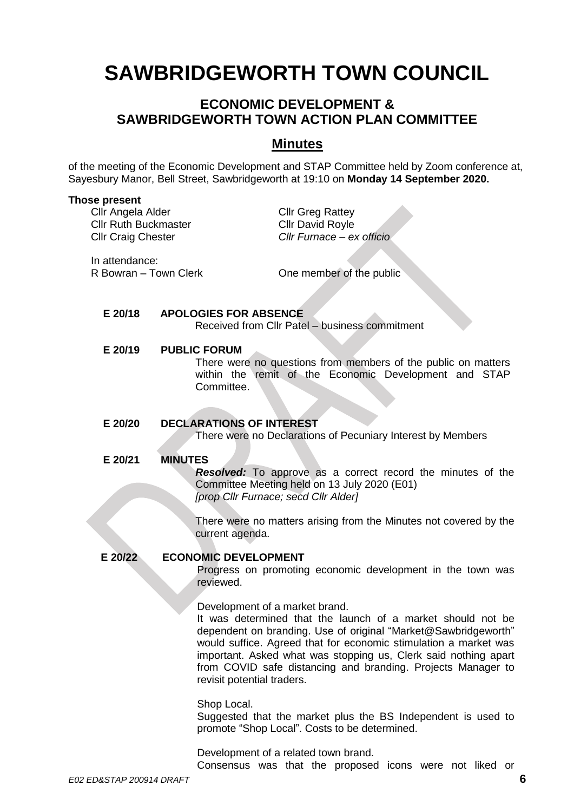# **SAWBRIDGEWORTH TOWN COUNCIL**

# **ECONOMIC DEVELOPMENT & SAWBRIDGEWORTH TOWN ACTION PLAN COMMITTEE**

# **Minutes**

of the meeting of the Economic Development and STAP Committee held by Zoom conference at, Sayesbury Manor, Bell Street, Sawbridgeworth at 19:10 on **Monday 14 September 2020.**

#### **Those present**

Cllr Angela Alder Cllr Greg Rattey Cllr Ruth Buckmaster Cllr David Royle Cllr Craig Chester *Cllr Furnace – ex officio*

In attendance:

R Bowran – Town Clerk **Clean Clerk** One member of the public

#### **E 20/18 APOLOGIES FOR ABSENCE**

Received from Cllr Patel – business commitment

#### **E 20/19 PUBLIC FORUM**

There were no questions from members of the public on matters within the remit of the Economic Development and STAP Committee.

#### **E 20/20 DECLARATIONS OF INTEREST**

There were no Declarations of Pecuniary Interest by Members

#### **E 20/21 MINUTES**

*Resolved:* To approve as a correct record the minutes of the Committee Meeting held on 13 July 2020 (E01) *[prop Cllr Furnace; secd Cllr Alder]*

There were no matters arising from the Minutes not covered by the current agenda.

## **E 20/22 ECONOMIC DEVELOPMENT**

Progress on promoting economic development in the town was reviewed.

Development of a market brand.

It was determined that the launch of a market should not be dependent on branding. Use of original "Market@Sawbridgeworth" would suffice. Agreed that for economic stimulation a market was important. Asked what was stopping us, Clerk said nothing apart from COVID safe distancing and branding. Projects Manager to revisit potential traders.

Shop Local.

Suggested that the market plus the BS Independent is used to promote "Shop Local". Costs to be determined.

Development of a related town brand. Consensus was that the proposed icons were not liked or